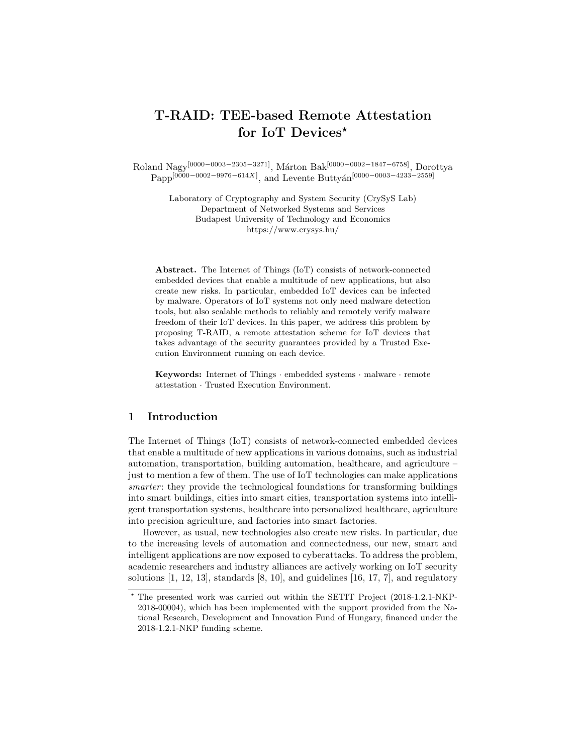# T-RAID: TEE-based Remote Attestation for IoT Devices<sup>\*</sup>

Roland Nagy<sup>[0000–0003–2305–3271]</sup>, Márton Bak<sup>[0000–0002–1847–6758]</sup>, Dorottya  $\mathrm{Papp}^{[0000-0002-9976-614X]},$  and Levente Buttyán<sup>[0000–0003–4233–2559]</sup>

> Laboratory of Cryptography and System Security (CrySyS Lab) Department of Networked Systems and Services Budapest University of Technology and Economics https://www.crysys.hu/

Abstract. The Internet of Things (IoT) consists of network-connected embedded devices that enable a multitude of new applications, but also create new risks. In particular, embedded IoT devices can be infected by malware. Operators of IoT systems not only need malware detection tools, but also scalable methods to reliably and remotely verify malware freedom of their IoT devices. In this paper, we address this problem by proposing T-RAID, a remote attestation scheme for IoT devices that takes advantage of the security guarantees provided by a Trusted Execution Environment running on each device.

Keywords: Internet of Things · embedded systems · malware · remote attestation · Trusted Execution Environment.

## 1 Introduction

The Internet of Things (IoT) consists of network-connected embedded devices that enable a multitude of new applications in various domains, such as industrial automation, transportation, building automation, healthcare, and agriculture – just to mention a few of them. The use of IoT technologies can make applications smarter: they provide the technological foundations for transforming buildings into smart buildings, cities into smart cities, transportation systems into intelligent transportation systems, healthcare into personalized healthcare, agriculture into precision agriculture, and factories into smart factories.

However, as usual, new technologies also create new risks. In particular, due to the increasing levels of automation and connectedness, our new, smart and intelligent applications are now exposed to cyberattacks. To address the problem, academic researchers and industry alliances are actively working on IoT security solutions  $[1, 12, 13]$ , standards  $[8, 10]$ , and guidelines  $[16, 17, 7]$ , and regulatory

<sup>?</sup> The presented work was carried out within the SETIT Project (2018-1.2.1-NKP-2018-00004), which has been implemented with the support provided from the National Research, Development and Innovation Fund of Hungary, financed under the 2018-1.2.1-NKP funding scheme.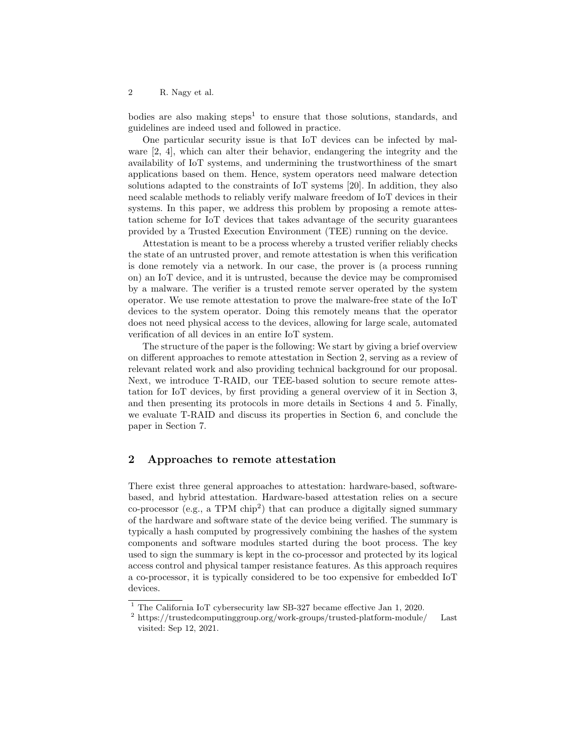bodies are also making steps<sup>1</sup> to ensure that those solutions, standards, and guidelines are indeed used and followed in practice.

One particular security issue is that IoT devices can be infected by malware [2, 4], which can alter their behavior, endangering the integrity and the availability of IoT systems, and undermining the trustworthiness of the smart applications based on them. Hence, system operators need malware detection solutions adapted to the constraints of IoT systems [20]. In addition, they also need scalable methods to reliably verify malware freedom of IoT devices in their systems. In this paper, we address this problem by proposing a remote attestation scheme for IoT devices that takes advantage of the security guarantees provided by a Trusted Execution Environment (TEE) running on the device.

Attestation is meant to be a process whereby a trusted verifier reliably checks the state of an untrusted prover, and remote attestation is when this verification is done remotely via a network. In our case, the prover is (a process running on) an IoT device, and it is untrusted, because the device may be compromised by a malware. The verifier is a trusted remote server operated by the system operator. We use remote attestation to prove the malware-free state of the IoT devices to the system operator. Doing this remotely means that the operator does not need physical access to the devices, allowing for large scale, automated verification of all devices in an entire IoT system.

The structure of the paper is the following: We start by giving a brief overview on different approaches to remote attestation in Section 2, serving as a review of relevant related work and also providing technical background for our proposal. Next, we introduce T-RAID, our TEE-based solution to secure remote attestation for IoT devices, by first providing a general overview of it in Section 3, and then presenting its protocols in more details in Sections 4 and 5. Finally, we evaluate T-RAID and discuss its properties in Section 6, and conclude the paper in Section 7.

## 2 Approaches to remote attestation

There exist three general approaches to attestation: hardware-based, softwarebased, and hybrid attestation. Hardware-based attestation relies on a secure  $co-processor$  (e.g., a TPM  $chip<sup>2</sup>$ ) that can produce a digitally signed summary of the hardware and software state of the device being verified. The summary is typically a hash computed by progressively combining the hashes of the system components and software modules started during the boot process. The key used to sign the summary is kept in the co-processor and protected by its logical access control and physical tamper resistance features. As this approach requires a co-processor, it is typically considered to be too expensive for embedded IoT devices.

<sup>1</sup> The California IoT cybersecurity law SB-327 became effective Jan 1, 2020.

 $^2$ https://trustedcomputinggroup.org/work-groups/trusted-platform-module/  $\quad$  Last visited: Sep 12, 2021.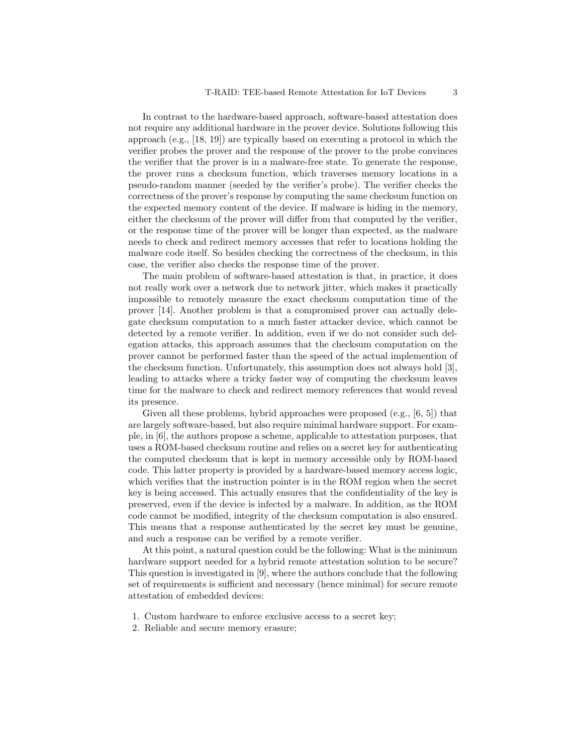In contrast to the hardware-based approach, software-based attestation does not require any additional hardware in the prover device. Solutions following this approach (e.g., [18, 19]) are typically based on executing a protocol in which the verifier probes the prover and the response of the prover to the probe convinces the verifier that the prover is in a malware-free state. To generate the response, the prover runs a checksum function, which traverses memory locations in a pseudo-random manner (seeded by the verifier's probe). The verifier checks the correctness of the prover's response by computing the same checksum function on the expected memory content of the device. If malware is hiding in the memory, either the checksum of the prover will differ from that computed by the verifier, or the response time of the prover will be longer than expected, as the malware needs to check and redirect memory accesses that refer to locations holding the malware code itself. So besides checking the correctness of the checksum, in this case, the verifier also checks the response time of the prover.

The main problem of software-based attestation is that, in practice, it does not really work over a network due to network jitter, which makes it practically impossible to remotely measure the exact checksum computation time of the prover [14]. Another problem is that a compromised prover can actually delegate checksum computation to a much faster attacker device, which cannot be detected by a remote verifier. In addition, even if we do not consider such delegation attacks, this approach assumes that the checksum computation on the prover cannot be performed faster than the speed of the actual implemention of the checksum function. Unfortunately, this assumption does not always hold [3], leading to attacks where a tricky faster way of computing the checksum leaves time for the malware to check and redirect memory references that would reveal its presence.

Given all these problems, hybrid approaches were proposed (e.g., [6, 5]) that are largely software-based, but also require minimal hardware support. For example, in [6], the authors propose a scheme, applicable to attestation purposes, that uses a ROM-based checksum routine and relies on a secret key for authenticating the computed checksum that is kept in memory accessible only by ROM-based code. This latter property is provided by a hardware-based memory access logic, which verifies that the instruction pointer is in the ROM region when the secret key is being accessed. This actually ensures that the confidentiality of the key is preserved, even if the device is infected by a malware. In addition, as the ROM code cannot be modified, integrity of the checksum computation is also ensured. This means that a response authenticated by the secret key must be genuine, and such a response can be verified by a remote verifier.

At this point, a natural question could be the following: What is the minimum hardware support needed for a hybrid remote attestation solution to be secure? This question is investigated in [9], where the authors conclude that the following set of requirements is sufficient and necessary (hence minimal) for secure remote attestation of embedded devices:

- 1. Custom hardware to enforce exclusive access to a secret key;
- 2. Reliable and secure memory erasure;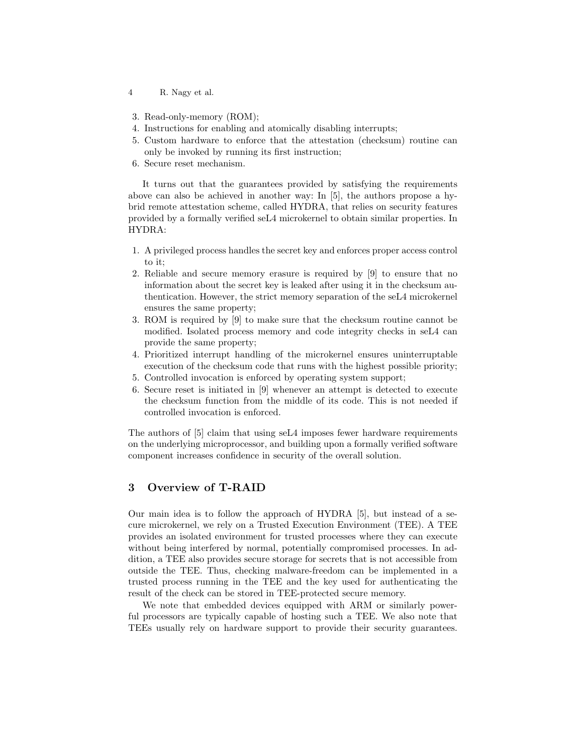- 4 R. Nagy et al.
- 3. Read-only-memory (ROM);
- 4. Instructions for enabling and atomically disabling interrupts;
- 5. Custom hardware to enforce that the attestation (checksum) routine can only be invoked by running its first instruction;
- 6. Secure reset mechanism.

It turns out that the guarantees provided by satisfying the requirements above can also be achieved in another way: In [5], the authors propose a hybrid remote attestation scheme, called HYDRA, that relies on security features provided by a formally verified seL4 microkernel to obtain similar properties. In HYDRA:

- 1. A privileged process handles the secret key and enforces proper access control to it;
- 2. Reliable and secure memory erasure is required by [9] to ensure that no information about the secret key is leaked after using it in the checksum authentication. However, the strict memory separation of the seL4 microkernel ensures the same property;
- 3. ROM is required by [9] to make sure that the checksum routine cannot be modified. Isolated process memory and code integrity checks in seL4 can provide the same property;
- 4. Prioritized interrupt handling of the microkernel ensures uninterruptable execution of the checksum code that runs with the highest possible priority;
- 5. Controlled invocation is enforced by operating system support;
- 6. Secure reset is initiated in [9] whenever an attempt is detected to execute the checksum function from the middle of its code. This is not needed if controlled invocation is enforced.

The authors of [5] claim that using seL4 imposes fewer hardware requirements on the underlying microprocessor, and building upon a formally verified software component increases confidence in security of the overall solution.

# 3 Overview of T-RAID

Our main idea is to follow the approach of HYDRA [5], but instead of a secure microkernel, we rely on a Trusted Execution Environment (TEE). A TEE provides an isolated environment for trusted processes where they can execute without being interfered by normal, potentially compromised processes. In addition, a TEE also provides secure storage for secrets that is not accessible from outside the TEE. Thus, checking malware-freedom can be implemented in a trusted process running in the TEE and the key used for authenticating the result of the check can be stored in TEE-protected secure memory.

We note that embedded devices equipped with ARM or similarly powerful processors are typically capable of hosting such a TEE. We also note that TEEs usually rely on hardware support to provide their security guarantees.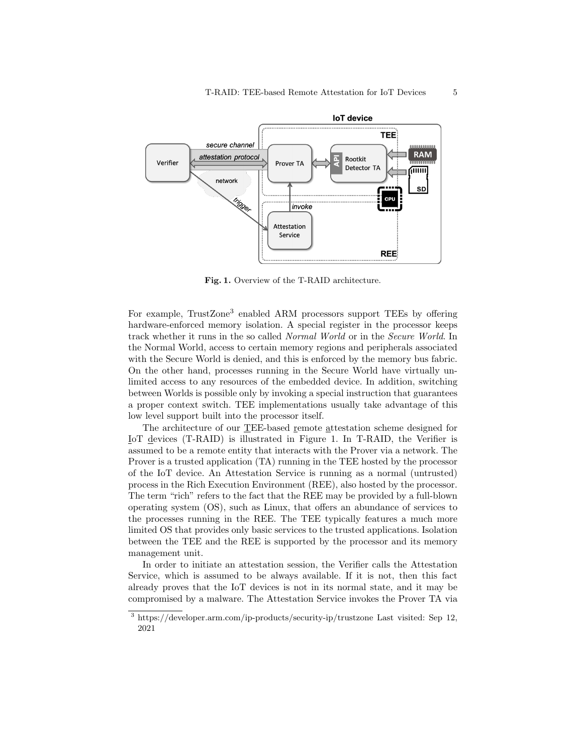

Fig. 1. Overview of the T-RAID architecture.

For example, TrustZone<sup>3</sup> enabled ARM processors support TEEs by offering hardware-enforced memory isolation. A special register in the processor keeps track whether it runs in the so called Normal World or in the Secure World. In the Normal World, access to certain memory regions and peripherals associated with the Secure World is denied, and this is enforced by the memory bus fabric. On the other hand, processes running in the Secure World have virtually unlimited access to any resources of the embedded device. In addition, switching between Worlds is possible only by invoking a special instruction that guarantees a proper context switch. TEE implementations usually take advantage of this low level support built into the processor itself.

The architecture of our TEE-based remote attestation scheme designed for IoT devices (T-RAID) is illustrated in Figure 1. In T-RAID, the Verifier is assumed to be a remote entity that interacts with the Prover via a network. The Prover is a trusted application (TA) running in the TEE hosted by the processor of the IoT device. An Attestation Service is running as a normal (untrusted) process in the Rich Execution Environment (REE), also hosted by the processor. The term "rich" refers to the fact that the REE may be provided by a full-blown operating system (OS), such as Linux, that offers an abundance of services to the processes running in the REE. The TEE typically features a much more limited OS that provides only basic services to the trusted applications. Isolation between the TEE and the REE is supported by the processor and its memory management unit.

In order to initiate an attestation session, the Verifier calls the Attestation Service, which is assumed to be always available. If it is not, then this fact already proves that the IoT devices is not in its normal state, and it may be compromised by a malware. The Attestation Service invokes the Prover TA via

 $^3$ https://developer.arm.com/ip-products/security-ip/trustzone Last visited: Sep 12, 2021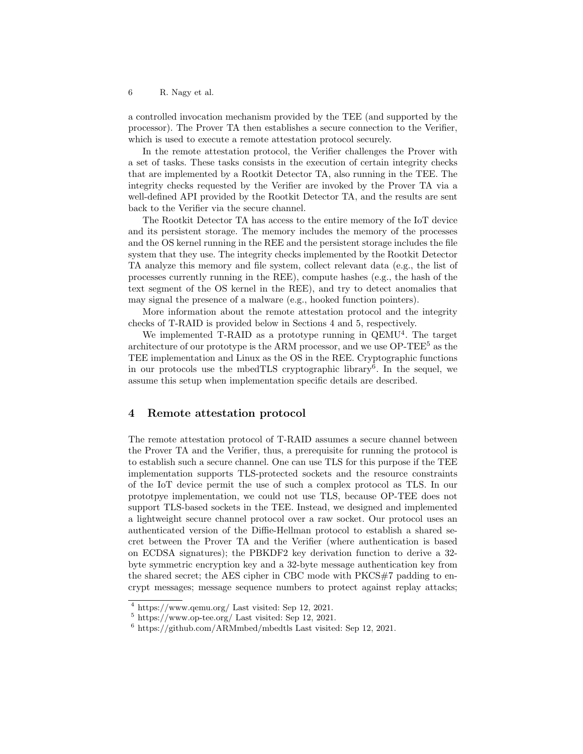a controlled invocation mechanism provided by the TEE (and supported by the processor). The Prover TA then establishes a secure connection to the Verifier, which is used to execute a remote attestation protocol securely.

In the remote attestation protocol, the Verifier challenges the Prover with a set of tasks. These tasks consists in the execution of certain integrity checks that are implemented by a Rootkit Detector TA, also running in the TEE. The integrity checks requested by the Verifier are invoked by the Prover TA via a well-defined API provided by the Rootkit Detector TA, and the results are sent back to the Verifier via the secure channel.

The Rootkit Detector TA has access to the entire memory of the IoT device and its persistent storage. The memory includes the memory of the processes and the OS kernel running in the REE and the persistent storage includes the file system that they use. The integrity checks implemented by the Rootkit Detector TA analyze this memory and file system, collect relevant data (e.g., the list of processes currently running in the REE), compute hashes (e.g., the hash of the text segment of the OS kernel in the REE), and try to detect anomalies that may signal the presence of a malware (e.g., hooked function pointers).

More information about the remote attestation protocol and the integrity checks of T-RAID is provided below in Sections 4 and 5, respectively.

We implemented T-RAID as a prototype running in QEMU<sup>4</sup>. The target architecture of our prototype is the ARM processor, and we use OP-TEE<sup>5</sup> as the TEE implementation and Linux as the OS in the REE. Cryptographic functions in our protocols use the mbedTLS cryptographic library<sup>6</sup>. In the sequel, we assume this setup when implementation specific details are described.

## 4 Remote attestation protocol

The remote attestation protocol of T-RAID assumes a secure channel between the Prover TA and the Verifier, thus, a prerequisite for running the protocol is to establish such a secure channel. One can use TLS for this purpose if the TEE implementation supports TLS-protected sockets and the resource constraints of the IoT device permit the use of such a complex protocol as TLS. In our prototpye implementation, we could not use TLS, because OP-TEE does not support TLS-based sockets in the TEE. Instead, we designed and implemented a lightweight secure channel protocol over a raw socket. Our protocol uses an authenticated version of the Diffie-Hellman protocol to establish a shared secret between the Prover TA and the Verifier (where authentication is based on ECDSA signatures); the PBKDF2 key derivation function to derive a 32 byte symmetric encryption key and a 32-byte message authentication key from the shared secret; the AES cipher in CBC mode with PKCS#7 padding to encrypt messages; message sequence numbers to protect against replay attacks;

<sup>4</sup> https://www.qemu.org/ Last visited: Sep 12, 2021.

 $5 \text{ https://www.op-tee.org/ Last visited: Sep 12, 2021.}$ 

 $^6$ https://github.com/ARMmbed/mbedtls Last visited: Sep 12, 2021.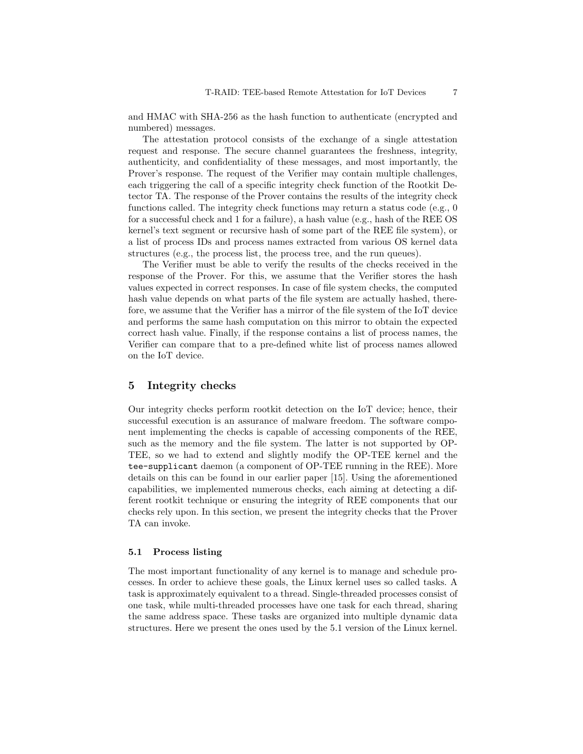and HMAC with SHA-256 as the hash function to authenticate (encrypted and numbered) messages.

The attestation protocol consists of the exchange of a single attestation request and response. The secure channel guarantees the freshness, integrity, authenticity, and confidentiality of these messages, and most importantly, the Prover's response. The request of the Verifier may contain multiple challenges, each triggering the call of a specific integrity check function of the Rootkit Detector TA. The response of the Prover contains the results of the integrity check functions called. The integrity check functions may return a status code (e.g., 0 for a successful check and 1 for a failure), a hash value (e.g., hash of the REE OS kernel's text segment or recursive hash of some part of the REE file system), or a list of process IDs and process names extracted from various OS kernel data structures (e.g., the process list, the process tree, and the run queues).

The Verifier must be able to verify the results of the checks received in the response of the Prover. For this, we assume that the Verifier stores the hash values expected in correct responses. In case of file system checks, the computed hash value depends on what parts of the file system are actually hashed, therefore, we assume that the Verifier has a mirror of the file system of the IoT device and performs the same hash computation on this mirror to obtain the expected correct hash value. Finally, if the response contains a list of process names, the Verifier can compare that to a pre-defined white list of process names allowed on the IoT device.

## 5 Integrity checks

Our integrity checks perform rootkit detection on the IoT device; hence, their successful execution is an assurance of malware freedom. The software component implementing the checks is capable of accessing components of the REE, such as the memory and the file system. The latter is not supported by OP-TEE, so we had to extend and slightly modify the OP-TEE kernel and the tee-supplicant daemon (a component of OP-TEE running in the REE). More details on this can be found in our earlier paper [15]. Using the aforementioned capabilities, we implemented numerous checks, each aiming at detecting a different rootkit technique or ensuring the integrity of REE components that our checks rely upon. In this section, we present the integrity checks that the Prover TA can invoke.

#### 5.1 Process listing

The most important functionality of any kernel is to manage and schedule processes. In order to achieve these goals, the Linux kernel uses so called tasks. A task is approximately equivalent to a thread. Single-threaded processes consist of one task, while multi-threaded processes have one task for each thread, sharing the same address space. These tasks are organized into multiple dynamic data structures. Here we present the ones used by the 5.1 version of the Linux kernel.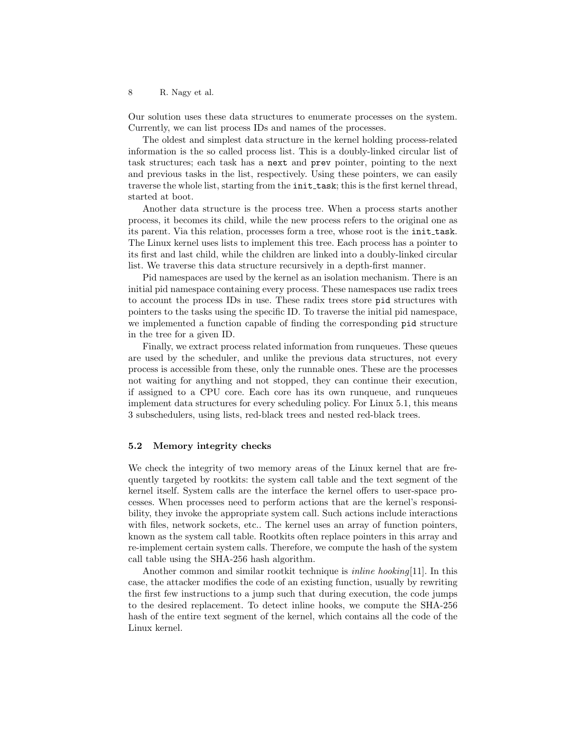Our solution uses these data structures to enumerate processes on the system. Currently, we can list process IDs and names of the processes.

The oldest and simplest data structure in the kernel holding process-related information is the so called process list. This is a doubly-linked circular list of task structures; each task has a next and prev pointer, pointing to the next and previous tasks in the list, respectively. Using these pointers, we can easily traverse the whole list, starting from the **init\_task**; this is the first kernel thread, started at boot.

Another data structure is the process tree. When a process starts another process, it becomes its child, while the new process refers to the original one as its parent. Via this relation, processes form a tree, whose root is the init task. The Linux kernel uses lists to implement this tree. Each process has a pointer to its first and last child, while the children are linked into a doubly-linked circular list. We traverse this data structure recursively in a depth-first manner.

Pid namespaces are used by the kernel as an isolation mechanism. There is an initial pid namespace containing every process. These namespaces use radix trees to account the process IDs in use. These radix trees store pid structures with pointers to the tasks using the specific ID. To traverse the initial pid namespace, we implemented a function capable of finding the corresponding pid structure in the tree for a given ID.

Finally, we extract process related information from runqueues. These queues are used by the scheduler, and unlike the previous data structures, not every process is accessible from these, only the runnable ones. These are the processes not waiting for anything and not stopped, they can continue their execution, if assigned to a CPU core. Each core has its own runqueue, and runqueues implement data structures for every scheduling policy. For Linux 5.1, this means 3 subschedulers, using lists, red-black trees and nested red-black trees.

#### 5.2 Memory integrity checks

We check the integrity of two memory areas of the Linux kernel that are frequently targeted by rootkits: the system call table and the text segment of the kernel itself. System calls are the interface the kernel offers to user-space processes. When processes need to perform actions that are the kernel's responsibility, they invoke the appropriate system call. Such actions include interactions with files, network sockets, etc.. The kernel uses an array of function pointers, known as the system call table. Rootkits often replace pointers in this array and re-implement certain system calls. Therefore, we compute the hash of the system call table using the SHA-256 hash algorithm.

Another common and similar rootkit technique is *inline hooking*[11]. In this case, the attacker modifies the code of an existing function, usually by rewriting the first few instructions to a jump such that during execution, the code jumps to the desired replacement. To detect inline hooks, we compute the SHA-256 hash of the entire text segment of the kernel, which contains all the code of the Linux kernel.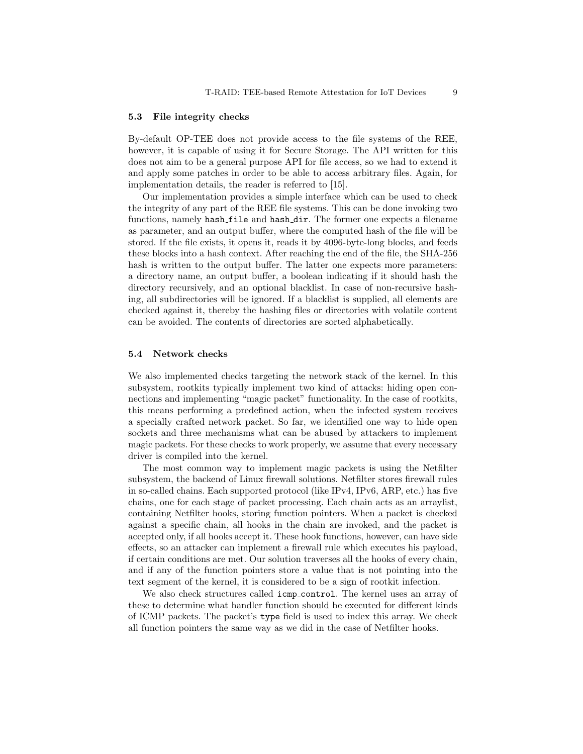#### 5.3 File integrity checks

By-default OP-TEE does not provide access to the file systems of the REE, however, it is capable of using it for Secure Storage. The API written for this does not aim to be a general purpose API for file access, so we had to extend it and apply some patches in order to be able to access arbitrary files. Again, for implementation details, the reader is referred to [15].

Our implementation provides a simple interface which can be used to check the integrity of any part of the REE file systems. This can be done invoking two functions, namely hash file and hash dir. The former one expects a filename as parameter, and an output buffer, where the computed hash of the file will be stored. If the file exists, it opens it, reads it by 4096-byte-long blocks, and feeds these blocks into a hash context. After reaching the end of the file, the SHA-256 hash is written to the output buffer. The latter one expects more parameters: a directory name, an output buffer, a boolean indicating if it should hash the directory recursively, and an optional blacklist. In case of non-recursive hashing, all subdirectories will be ignored. If a blacklist is supplied, all elements are checked against it, thereby the hashing files or directories with volatile content can be avoided. The contents of directories are sorted alphabetically.

#### 5.4 Network checks

We also implemented checks targeting the network stack of the kernel. In this subsystem, rootkits typically implement two kind of attacks: hiding open connections and implementing "magic packet" functionality. In the case of rootkits, this means performing a predefined action, when the infected system receives a specially crafted network packet. So far, we identified one way to hide open sockets and three mechanisms what can be abused by attackers to implement magic packets. For these checks to work properly, we assume that every necessary driver is compiled into the kernel.

The most common way to implement magic packets is using the Netfilter subsystem, the backend of Linux firewall solutions. Netfilter stores firewall rules in so-called chains. Each supported protocol (like IPv4, IPv6, ARP, etc.) has five chains, one for each stage of packet processing. Each chain acts as an arraylist, containing Netfilter hooks, storing function pointers. When a packet is checked against a specific chain, all hooks in the chain are invoked, and the packet is accepted only, if all hooks accept it. These hook functions, however, can have side effects, so an attacker can implement a firewall rule which executes his payload, if certain conditions are met. Our solution traverses all the hooks of every chain, and if any of the function pointers store a value that is not pointing into the text segment of the kernel, it is considered to be a sign of rootkit infection.

We also check structures called icmp control. The kernel uses an array of these to determine what handler function should be executed for different kinds of ICMP packets. The packet's type field is used to index this array. We check all function pointers the same way as we did in the case of Netfilter hooks.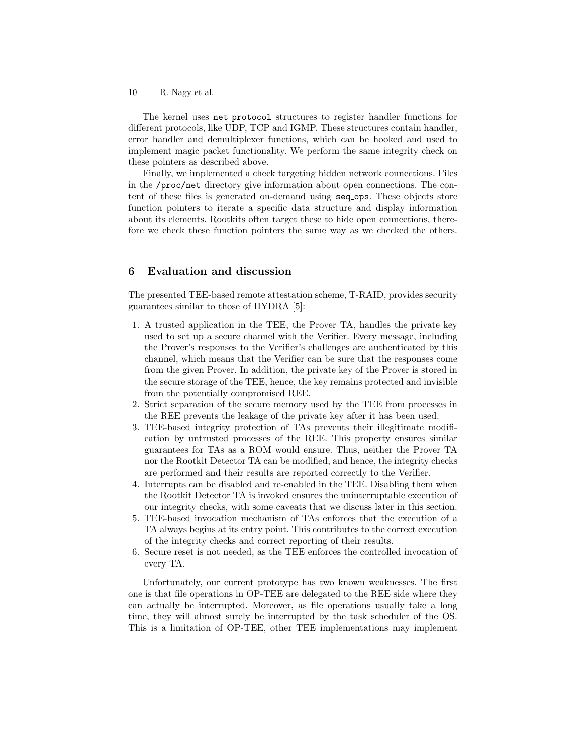The kernel uses net protocol structures to register handler functions for different protocols, like UDP, TCP and IGMP. These structures contain handler, error handler and demultiplexer functions, which can be hooked and used to implement magic packet functionality. We perform the same integrity check on these pointers as described above.

Finally, we implemented a check targeting hidden network connections. Files in the /proc/net directory give information about open connections. The content of these files is generated on-demand using seq ops. These objects store function pointers to iterate a specific data structure and display information about its elements. Rootkits often target these to hide open connections, therefore we check these function pointers the same way as we checked the others.

## 6 Evaluation and discussion

The presented TEE-based remote attestation scheme, T-RAID, provides security guarantees similar to those of HYDRA [5]:

- 1. A trusted application in the TEE, the Prover TA, handles the private key used to set up a secure channel with the Verifier. Every message, including the Prover's responses to the Verifier's challenges are authenticated by this channel, which means that the Verifier can be sure that the responses come from the given Prover. In addition, the private key of the Prover is stored in the secure storage of the TEE, hence, the key remains protected and invisible from the potentially compromised REE.
- 2. Strict separation of the secure memory used by the TEE from processes in the REE prevents the leakage of the private key after it has been used.
- 3. TEE-based integrity protection of TAs prevents their illegitimate modification by untrusted processes of the REE. This property ensures similar guarantees for TAs as a ROM would ensure. Thus, neither the Prover TA nor the Rootkit Detector TA can be modified, and hence, the integrity checks are performed and their results are reported correctly to the Verifier.
- 4. Interrupts can be disabled and re-enabled in the TEE. Disabling them when the Rootkit Detector TA is invoked ensures the uninterruptable execution of our integrity checks, with some caveats that we discuss later in this section.
- 5. TEE-based invocation mechanism of TAs enforces that the execution of a TA always begins at its entry point. This contributes to the correct execution of the integrity checks and correct reporting of their results.
- 6. Secure reset is not needed, as the TEE enforces the controlled invocation of every TA.

Unfortunately, our current prototype has two known weaknesses. The first one is that file operations in OP-TEE are delegated to the REE side where they can actually be interrupted. Moreover, as file operations usually take a long time, they will almost surely be interrupted by the task scheduler of the OS. This is a limitation of OP-TEE, other TEE implementations may implement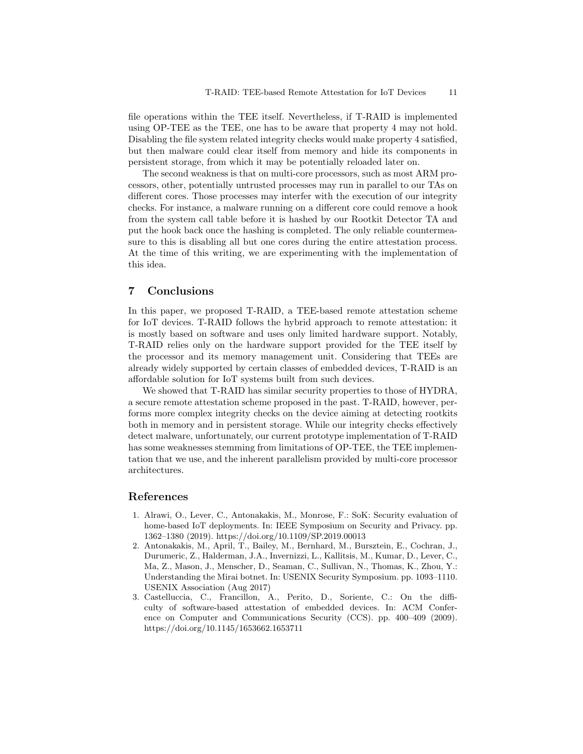file operations within the TEE itself. Nevertheless, if T-RAID is implemented using OP-TEE as the TEE, one has to be aware that property 4 may not hold. Disabling the file system related integrity checks would make property 4 satisfied, but then malware could clear itself from memory and hide its components in persistent storage, from which it may be potentially reloaded later on.

The second weakness is that on multi-core processors, such as most ARM processors, other, potentially untrusted processes may run in parallel to our TAs on different cores. Those processes may interfer with the execution of our integrity checks. For instance, a malware running on a different core could remove a hook from the system call table before it is hashed by our Rootkit Detector TA and put the hook back once the hashing is completed. The only reliable countermeasure to this is disabling all but one cores during the entire attestation process. At the time of this writing, we are experimenting with the implementation of this idea.

# 7 Conclusions

In this paper, we proposed T-RAID, a TEE-based remote attestation scheme for IoT devices. T-RAID follows the hybrid approach to remote attestation: it is mostly based on software and uses only limited hardware support. Notably, T-RAID relies only on the hardware support provided for the TEE itself by the processor and its memory management unit. Considering that TEEs are already widely supported by certain classes of embedded devices, T-RAID is an affordable solution for IoT systems built from such devices.

We showed that T-RAID has similar security properties to those of HYDRA, a secure remote attestation scheme proposed in the past. T-RAID, however, performs more complex integrity checks on the device aiming at detecting rootkits both in memory and in persistent storage. While our integrity checks effectively detect malware, unfortunately, our current prototype implementation of T-RAID has some weaknesses stemming from limitations of OP-TEE, the TEE implementation that we use, and the inherent parallelism provided by multi-core processor architectures.

## References

- 1. Alrawi, O., Lever, C., Antonakakis, M., Monrose, F.: SoK: Security evaluation of home-based IoT deployments. In: IEEE Symposium on Security and Privacy. pp. 1362–1380 (2019). https://doi.org/10.1109/SP.2019.00013
- 2. Antonakakis, M., April, T., Bailey, M., Bernhard, M., Bursztein, E., Cochran, J., Durumeric, Z., Halderman, J.A., Invernizzi, L., Kallitsis, M., Kumar, D., Lever, C., Ma, Z., Mason, J., Menscher, D., Seaman, C., Sullivan, N., Thomas, K., Zhou, Y.: Understanding the Mirai botnet. In: USENIX Security Symposium. pp. 1093–1110. USENIX Association (Aug 2017)
- 3. Castelluccia, C., Francillon, A., Perito, D., Soriente, C.: On the difficulty of software-based attestation of embedded devices. In: ACM Conference on Computer and Communications Security (CCS). pp. 400–409 (2009). https://doi.org/10.1145/1653662.1653711